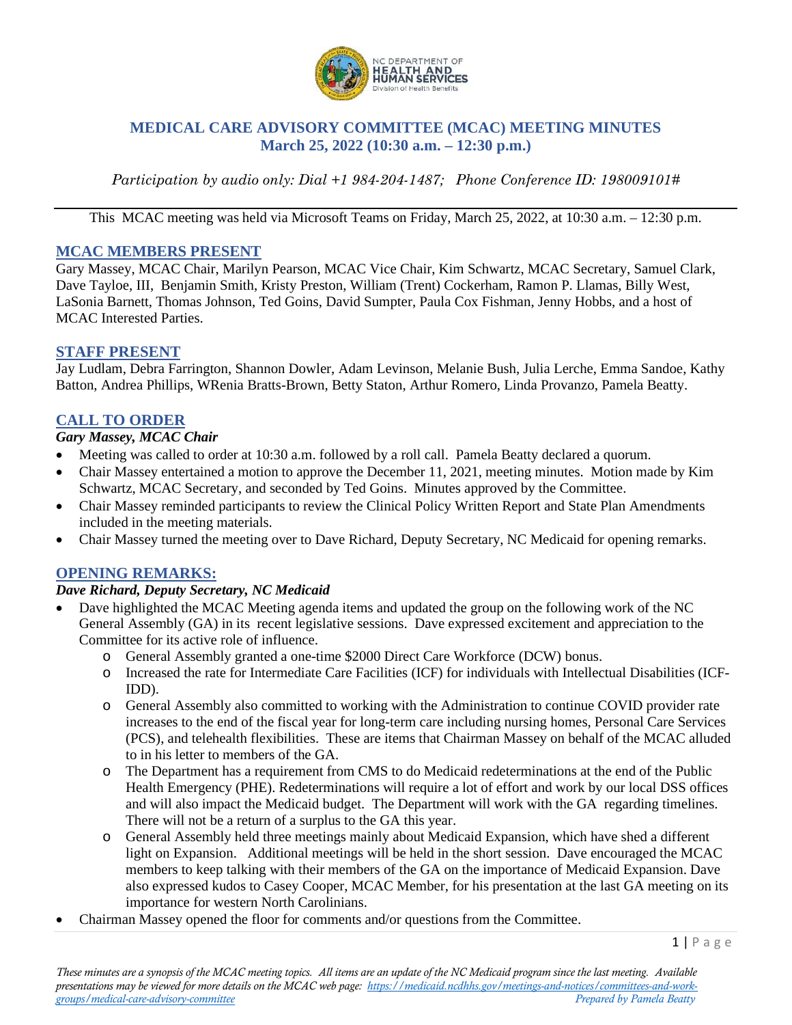

# **MEDICAL CARE ADVISORY COMMITTEE (MCAC) MEETING MINUTES March 25, 2022 (10:30 a.m. – 12:30 p.m.)**

*Participation by audio only: Dial +1 984-204-1487; Phone Conference ID: 198009101#*

This MCAC meeting was held via Microsoft Teams on Friday, March 25, 2022, at 10:30 a.m. – 12:30 p.m.

#### **MCAC MEMBERS PRESENT**

Gary Massey, MCAC Chair, Marilyn Pearson, MCAC Vice Chair, Kim Schwartz, MCAC Secretary, Samuel Clark, Dave Tayloe, III, Benjamin Smith, Kristy Preston, William (Trent) Cockerham, Ramon P. Llamas, Billy West, LaSonia Barnett, Thomas Johnson, Ted Goins, David Sumpter, Paula Cox Fishman, Jenny Hobbs, and a host of MCAC Interested Parties.

### **STAFF PRESENT**

Jay Ludlam, Debra Farrington, Shannon Dowler, Adam Levinson, Melanie Bush, Julia Lerche, Emma Sandoe, Kathy Batton, Andrea Phillips, WRenia Bratts-Brown, Betty Staton, Arthur Romero, Linda Provanzo, Pamela Beatty.

### **CALL TO ORDER**

#### *Gary Massey, MCAC Chair*

- Meeting was called to order at 10:30 a.m. followed by a roll call. Pamela Beatty declared a quorum.
- Chair Massey entertained a motion to approve the December 11, 2021, meeting minutes. Motion made by Kim Schwartz, MCAC Secretary, and seconded by Ted Goins. Minutes approved by the Committee.
- Chair Massey reminded participants to review the Clinical Policy Written Report and State Plan Amendments included in the meeting materials.
- Chair Massey turned the meeting over to Dave Richard, Deputy Secretary, NC Medicaid for opening remarks.

### **OPENING REMARKS:**

#### *Dave Richard, Deputy Secretary, NC Medicaid*

- Dave highlighted the MCAC Meeting agenda items and updated the group on the following work of the NC General Assembly (GA) in its recent legislative sessions. Dave expressed excitement and appreciation to the Committee for its active role of influence.
	- o General Assembly granted a one-time \$2000 Direct Care Workforce (DCW) bonus.
	- o Increased the rate for Intermediate Care Facilities (ICF) for individuals with Intellectual Disabilities (ICF-IDD).
	- o General Assembly also committed to working with the Administration to continue COVID provider rate increases to the end of the fiscal year for long-term care including nursing homes, Personal Care Services (PCS), and telehealth flexibilities. These are items that Chairman Massey on behalf of the MCAC alluded to in his letter to members of the GA.
	- o The Department has a requirement from CMS to do Medicaid redeterminations at the end of the Public Health Emergency (PHE). Redeterminations will require a lot of effort and work by our local DSS offices and will also impact the Medicaid budget. The Department will work with the GA regarding timelines. There will not be a return of a surplus to the GA this year.
	- o General Assembly held three meetings mainly about Medicaid Expansion, which have shed a different light on Expansion. Additional meetings will be held in the short session. Dave encouraged the MCAC members to keep talking with their members of the GA on the importance of Medicaid Expansion. Dave also expressed kudos to Casey Cooper, MCAC Member, for his presentation at the last GA meeting on its importance for western North Carolinians.
- Chairman Massey opened the floor for comments and/or questions from the Committee.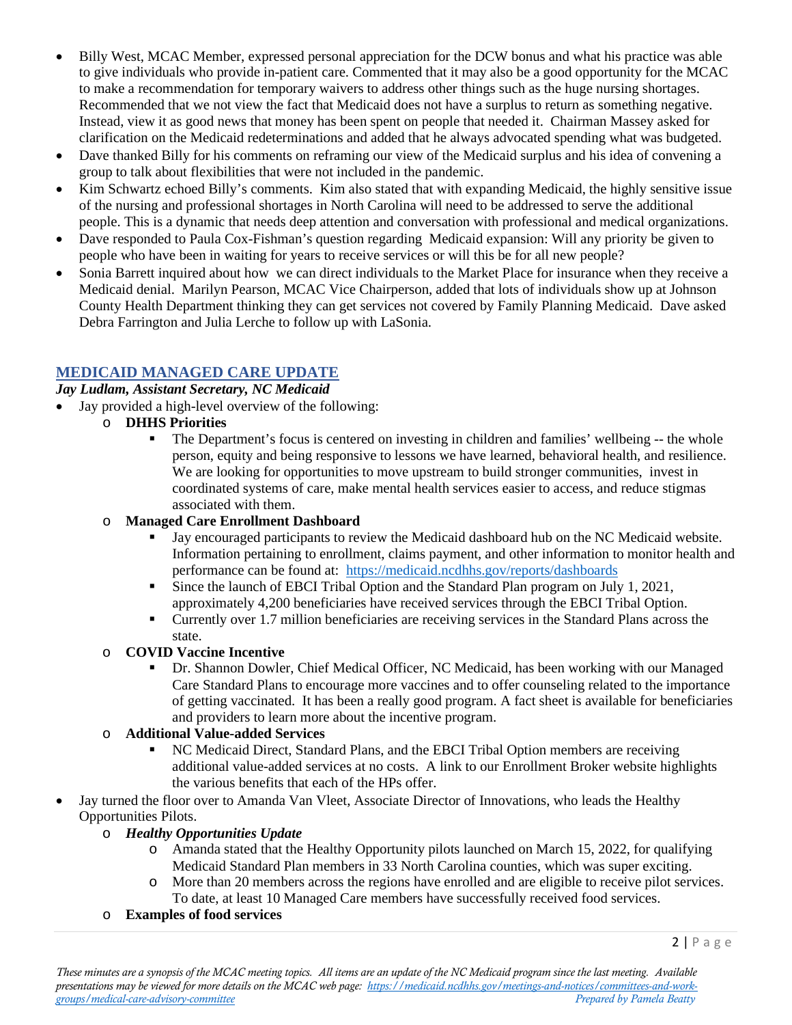- Billy West, MCAC Member, expressed personal appreciation for the DCW bonus and what his practice was able to give individuals who provide in-patient care. Commented that it may also be a good opportunity for the MCAC to make a recommendation for temporary waivers to address other things such as the huge nursing shortages. Recommended that we not view the fact that Medicaid does not have a surplus to return as something negative. Instead, view it as good news that money has been spent on people that needed it. Chairman Massey asked for clarification on the Medicaid redeterminations and added that he always advocated spending what was budgeted.
- Dave thanked Billy for his comments on reframing our view of the Medicaid surplus and his idea of convening a group to talk about flexibilities that were not included in the pandemic.
- Kim Schwartz echoed Billy's comments. Kim also stated that with expanding Medicaid, the highly sensitive issue of the nursing and professional shortages in North Carolina will need to be addressed to serve the additional people. This is a dynamic that needs deep attention and conversation with professional and medical organizations.
- Dave responded to Paula Cox-Fishman's question regarding Medicaid expansion: Will any priority be given to people who have been in waiting for years to receive services or will this be for all new people?
- Sonia Barrett inquired about how we can direct individuals to the Market Place for insurance when they receive a Medicaid denial. Marilyn Pearson, MCAC Vice Chairperson, added that lots of individuals show up at Johnson County Health Department thinking they can get services not covered by Family Planning Medicaid. Dave asked Debra Farrington and Julia Lerche to follow up with LaSonia.

# **MEDICAID MANAGED CARE UPDATE**

### *Jay Ludlam, Assistant Secretary, NC Medicaid*

- Jay provided a high-level overview of the following:
	- o **DHHS Priorities**
		- The Department's focus is centered on investing in children and families' wellbeing -- the whole person, equity and being responsive to lessons we have learned, behavioral health, and resilience. We are looking for opportunities to move upstream to build stronger communities, invest in coordinated systems of care, make mental health services easier to access, and reduce stigmas associated with them.
	- o **Managed Care Enrollment Dashboard**
		- Jay encouraged participants to review the Medicaid dashboard hub on the NC Medicaid website. Information pertaining to enrollment, claims payment, and other information to monitor health and performance can be found at: <https://medicaid.ncdhhs.gov/reports/dashboards>
		- Since the launch of EBCI Tribal Option and the Standard Plan program on July 1, 2021, approximately 4,200 beneficiaries have received services through the EBCI Tribal Option.
		- Currently over 1.7 million beneficiaries are receiving services in the Standard Plans across the state.

### o **COVID Vaccine Incentive**

 Dr. Shannon Dowler, Chief Medical Officer, NC Medicaid, has been working with our Managed Care Standard Plans to encourage more vaccines and to offer counseling related to the importance of getting vaccinated. It has been a really good program. A fact sheet is available for beneficiaries and providers to learn more about the incentive program.

### o **Additional Value-added Services**

- NC Medicaid Direct, Standard Plans, and the EBCI Tribal Option members are receiving additional value-added services at no costs. A link to our Enrollment Broker website highlights the various benefits that each of the HPs offer.
- Jay turned the floor over to Amanda Van Vleet, Associate Director of Innovations, who leads the Healthy Opportunities Pilots.

### o *Healthy Opportunities Update*

- o Amanda stated that the Healthy Opportunity pilots launched on March 15, 2022, for qualifying Medicaid Standard Plan members in 33 North Carolina counties, which was super exciting.
- o More than 20 members across the regions have enrolled and are eligible to receive pilot services. To date, at least 10 Managed Care members have successfully received food services.
- o **Examples of food services**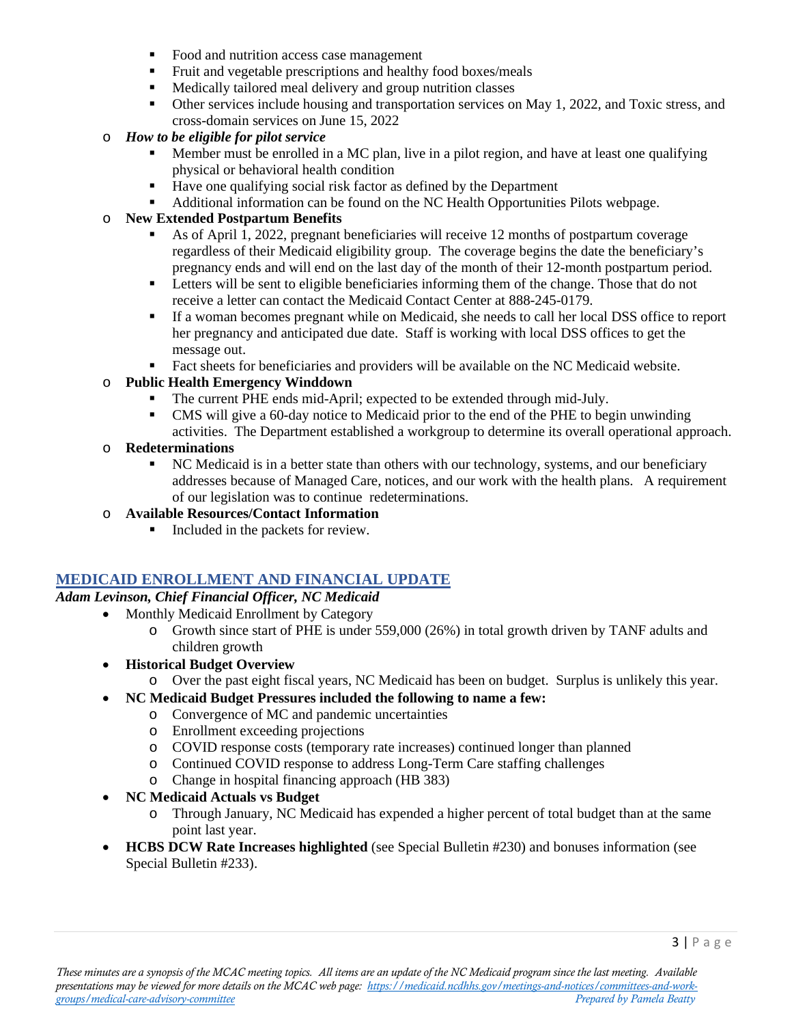- Food and nutrition access case management
- Fruit and vegetable prescriptions and healthy food boxes/meals
- **Medically tailored meal delivery and group nutrition classes**
- Other services include housing and transportation services on May 1, 2022, and Toxic stress, and cross-domain services on June 15, 2022
- o *How to be eligible for pilot service*
	- Member must be enrolled in a MC plan, live in a pilot region, and have at least one qualifying physical or behavioral health condition
	- $\blacksquare$  Have one qualifying social risk factor as defined by the Department
	- Additional information can be found on the NC Health Opportunities Pilots webpage.

### o **New Extended Postpartum Benefits**

- As of April 1, 2022, pregnant beneficiaries will receive 12 months of postpartum coverage regardless of their Medicaid eligibility group. The coverage begins the date the beneficiary's pregnancy ends and will end on the last day of the month of their 12-month postpartum period.
- **Example 1** Letters will be sent to eligible beneficiaries informing them of the change. Those that do not receive a letter can contact the Medicaid Contact Center at 888-245-0179.
- If a woman becomes pregnant while on Medicaid, she needs to call her local DSS office to report her pregnancy and anticipated due date. Staff is working with local DSS offices to get the message out.
- Fact sheets for beneficiaries and providers will be available on the NC Medicaid website.

### o **Public Health Emergency Winddown**

- The current PHE ends mid-April; expected to be extended through mid-July.
- CMS will give a 60-day notice to Medicaid prior to the end of the PHE to begin unwinding activities. The Department established a workgroup to determine its overall operational approach.

### o **Redeterminations**

 NC Medicaid is in a better state than others with our technology, systems, and our beneficiary addresses because of Managed Care, notices, and our work with the health plans. A requirement of our legislation was to continue redeterminations.

### o **Available Resources/Contact Information**

Included in the packets for review.

# **MEDICAID ENROLLMENT AND FINANCIAL UPDATE**

### *Adam Levinson, Chief Financial Officer, NC Medicaid*

- Monthly Medicaid Enrollment by Category
	- o Growth since start of PHE is under 559,000 (26%) in total growth driven by TANF adults and children growth
- **Historical Budget Overview**
	- o Over the past eight fiscal years, NC Medicaid has been on budget. Surplus is unlikely this year.
- **NC Medicaid Budget Pressures included the following to name a few:**
	- o Convergence of MC and pandemic uncertainties
	- o Enrollment exceeding projections
	- o COVID response costs (temporary rate increases) continued longer than planned
	- o Continued COVID response to address Long-Term Care staffing challenges
	- o Change in hospital financing approach (HB 383)
- **NC Medicaid Actuals vs Budget**
	- o Through January, NC Medicaid has expended a higher percent of total budget than at the same point last year.
- **HCBS DCW Rate Increases highlighted** (see Special Bulletin #230) and bonuses information (see Special Bulletin #233).